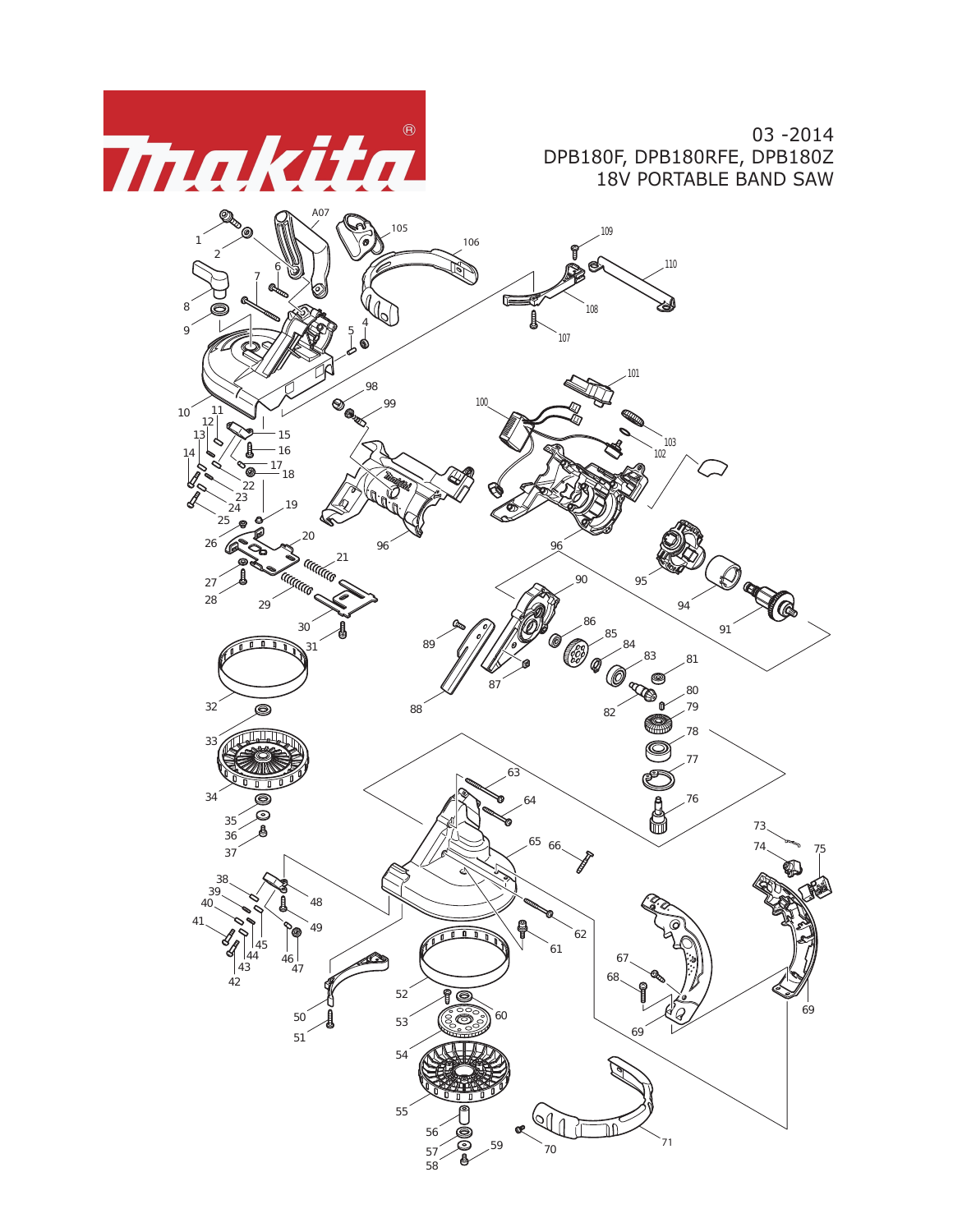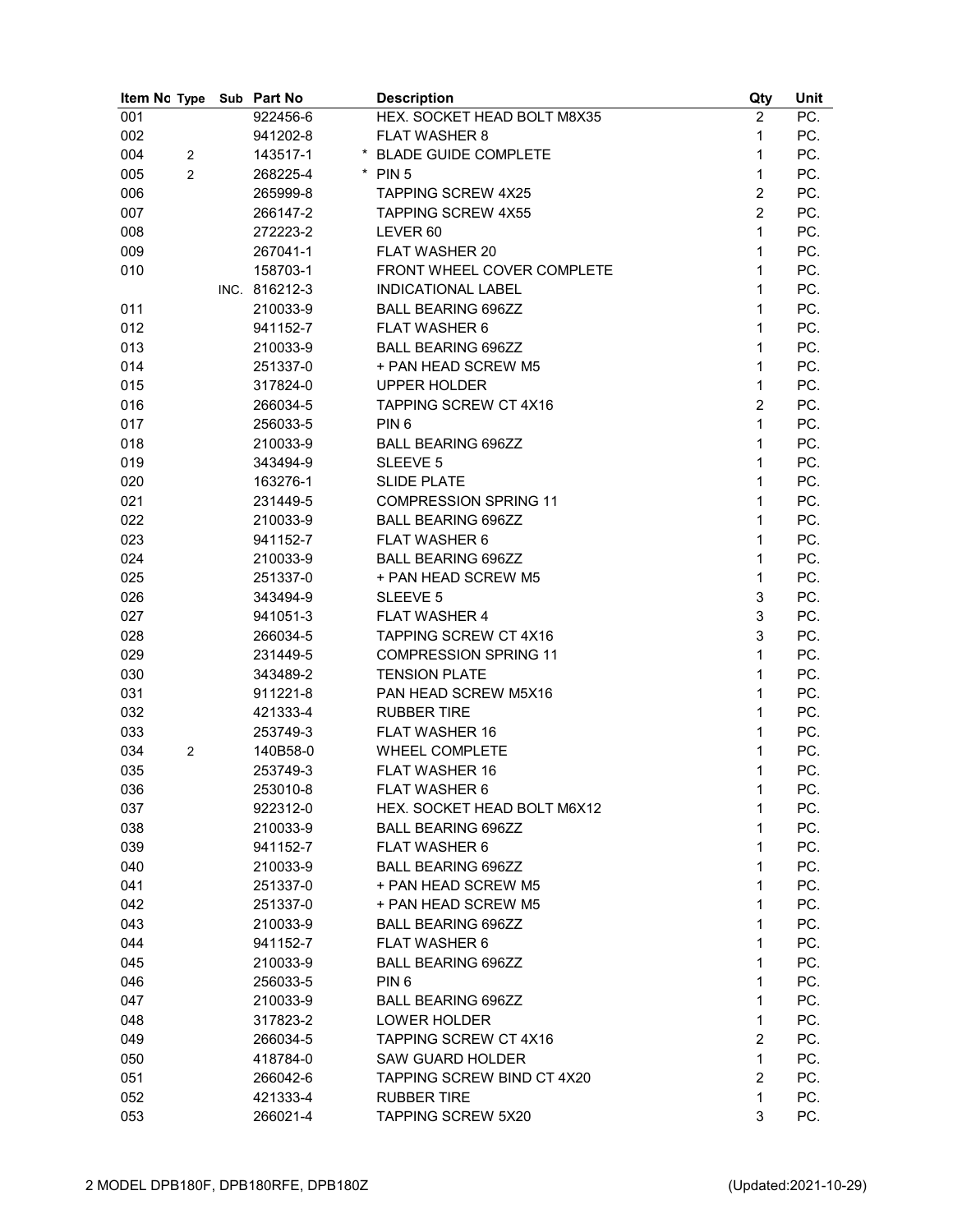| 922456-6<br>001<br>HEX. SOCKET HEAD BOLT M8X35<br>002<br><b>FLAT WASHER 8</b><br>941202-8<br>004<br>143517-1<br>* BLADE GUIDE COMPLETE<br>2<br>$\overline{2}$<br>005<br>268225-4<br>$*$ PIN 5 | $\overline{2}$<br>1<br>1<br>1<br>$\overline{2}$ | PC.<br>PC.<br>PC. |
|-----------------------------------------------------------------------------------------------------------------------------------------------------------------------------------------------|-------------------------------------------------|-------------------|
|                                                                                                                                                                                               |                                                 |                   |
|                                                                                                                                                                                               |                                                 |                   |
|                                                                                                                                                                                               |                                                 |                   |
|                                                                                                                                                                                               |                                                 | PC.               |
| 006<br>265999-8<br><b>TAPPING SCREW 4X25</b>                                                                                                                                                  |                                                 | PC.               |
| 007<br>266147-2<br><b>TAPPING SCREW 4X55</b>                                                                                                                                                  | $\overline{2}$                                  | PC.               |
| 008<br>272223-2<br>LEVER 60                                                                                                                                                                   | 1                                               | PC.               |
| 009<br>267041-1<br><b>FLAT WASHER 20</b>                                                                                                                                                      | 1                                               | PC.               |
| 158703-1<br>010<br>FRONT WHEEL COVER COMPLETE                                                                                                                                                 | 1                                               | PC.               |
| INC. 816212-3<br>INDICATIONAL LABEL                                                                                                                                                           | 1                                               | PC.               |
| 210033-9<br><b>BALL BEARING 696ZZ</b><br>011                                                                                                                                                  | 1                                               | PC.               |
| 012<br>941152-7<br><b>FLAT WASHER 6</b>                                                                                                                                                       | 1                                               | PC.               |
| 013<br>210033-9<br><b>BALL BEARING 696ZZ</b>                                                                                                                                                  | 1                                               | PC.               |
| 014<br>251337-0<br>+ PAN HEAD SCREW M5                                                                                                                                                        | 1                                               | PC.               |
| 015<br><b>UPPER HOLDER</b><br>317824-0                                                                                                                                                        | 1                                               | PC.               |
| 016<br><b>TAPPING SCREW CT 4X16</b><br>266034-5                                                                                                                                               | $\overline{2}$                                  | PC.               |
| 017<br>256033-5<br>PIN <sub>6</sub>                                                                                                                                                           | 1                                               | PC.               |
| 018<br>210033-9<br><b>BALL BEARING 696ZZ</b>                                                                                                                                                  | 1                                               | PC.               |
| 019<br>343494-9<br>SLEEVE 5                                                                                                                                                                   | 1                                               | PC.               |
| 020<br>163276-1<br><b>SLIDE PLATE</b>                                                                                                                                                         | 1                                               | PC.               |
| 021<br>231449-5<br><b>COMPRESSION SPRING 11</b>                                                                                                                                               | 1                                               | PC.               |
| 022<br>210033-9<br><b>BALL BEARING 696ZZ</b>                                                                                                                                                  | 1                                               | PC.               |
| 023<br>941152-7<br><b>FLAT WASHER 6</b>                                                                                                                                                       | 1                                               | PC.               |
| 024<br>210033-9<br><b>BALL BEARING 696ZZ</b>                                                                                                                                                  | 1                                               | PC.               |
| 025<br>251337-0<br>+ PAN HEAD SCREW M5                                                                                                                                                        | 1                                               | PC.               |
| 026<br>343494-9<br>SLEEVE 5                                                                                                                                                                   | 3                                               | PC.               |
| <b>FLAT WASHER 4</b><br>027<br>941051-3                                                                                                                                                       | 3                                               | PC.               |
| 028<br>TAPPING SCREW CT 4X16<br>266034-5                                                                                                                                                      | 3                                               | PC.               |
| 029<br>231449-5<br><b>COMPRESSION SPRING 11</b>                                                                                                                                               | 1                                               | PC.               |
| 030<br>343489-2<br><b>TENSION PLATE</b>                                                                                                                                                       | 1                                               | PC.               |
| PAN HEAD SCREW M5X16<br>031<br>911221-8                                                                                                                                                       | 1                                               | PC.               |
| 032<br>421333-4<br><b>RUBBER TIRE</b>                                                                                                                                                         | 1                                               | PC.               |
| 033<br>253749-3<br><b>FLAT WASHER 16</b>                                                                                                                                                      | 1                                               | PC.               |
| 034<br>140B58-0<br>WHEEL COMPLETE<br>2                                                                                                                                                        | 1                                               | PC.               |
| FLAT WASHER 16<br>035<br>253749-3                                                                                                                                                             | 1                                               | PC.               |
| 036<br>253010-8<br>FLAT WASHER 6                                                                                                                                                              | 1                                               | PC.               |
| 037<br>922312-0<br>HEX. SOCKET HEAD BOLT M6X12                                                                                                                                                | 1                                               | PC.               |
| 038<br>210033-9<br><b>BALL BEARING 696ZZ</b>                                                                                                                                                  | 1                                               | PC.               |
| 039<br>FLAT WASHER 6<br>941152-7                                                                                                                                                              | 1                                               | PC.               |
| 040<br><b>BALL BEARING 696ZZ</b><br>210033-9                                                                                                                                                  | 1                                               | PC.               |
| 251337-0<br>+ PAN HEAD SCREW M5<br>041                                                                                                                                                        | 1                                               | PC.               |
| 042<br>251337-0<br>+ PAN HEAD SCREW M5                                                                                                                                                        | 1                                               | PC.               |
| 043<br><b>BALL BEARING 696ZZ</b><br>210033-9                                                                                                                                                  | 1                                               | PC.               |
| 044<br><b>FLAT WASHER 6</b><br>941152-7                                                                                                                                                       | 1                                               | PC.               |
| 045<br><b>BALL BEARING 696ZZ</b><br>210033-9                                                                                                                                                  | 1                                               | PC.               |
| 046<br>PIN <sub>6</sub><br>256033-5                                                                                                                                                           | 1                                               | PC.               |
| 047<br>210033-9<br><b>BALL BEARING 696ZZ</b>                                                                                                                                                  | 1                                               | PC.               |
| 048<br>317823-2<br>LOWER HOLDER                                                                                                                                                               | 1                                               | PC.               |
| 049<br><b>TAPPING SCREW CT 4X16</b><br>266034-5                                                                                                                                               | $\overline{c}$                                  | PC.               |
| 050<br>418784-0<br><b>SAW GUARD HOLDER</b>                                                                                                                                                    | 1                                               | PC.               |
| 051<br>266042-6<br>TAPPING SCREW BIND CT 4X20                                                                                                                                                 | $\overline{2}$                                  | PC.               |
| <b>RUBBER TIRE</b><br>052<br>421333-4                                                                                                                                                         | 1                                               | PC.               |
| 266021-4<br><b>TAPPING SCREW 5X20</b><br>053                                                                                                                                                  | 3                                               | PC.               |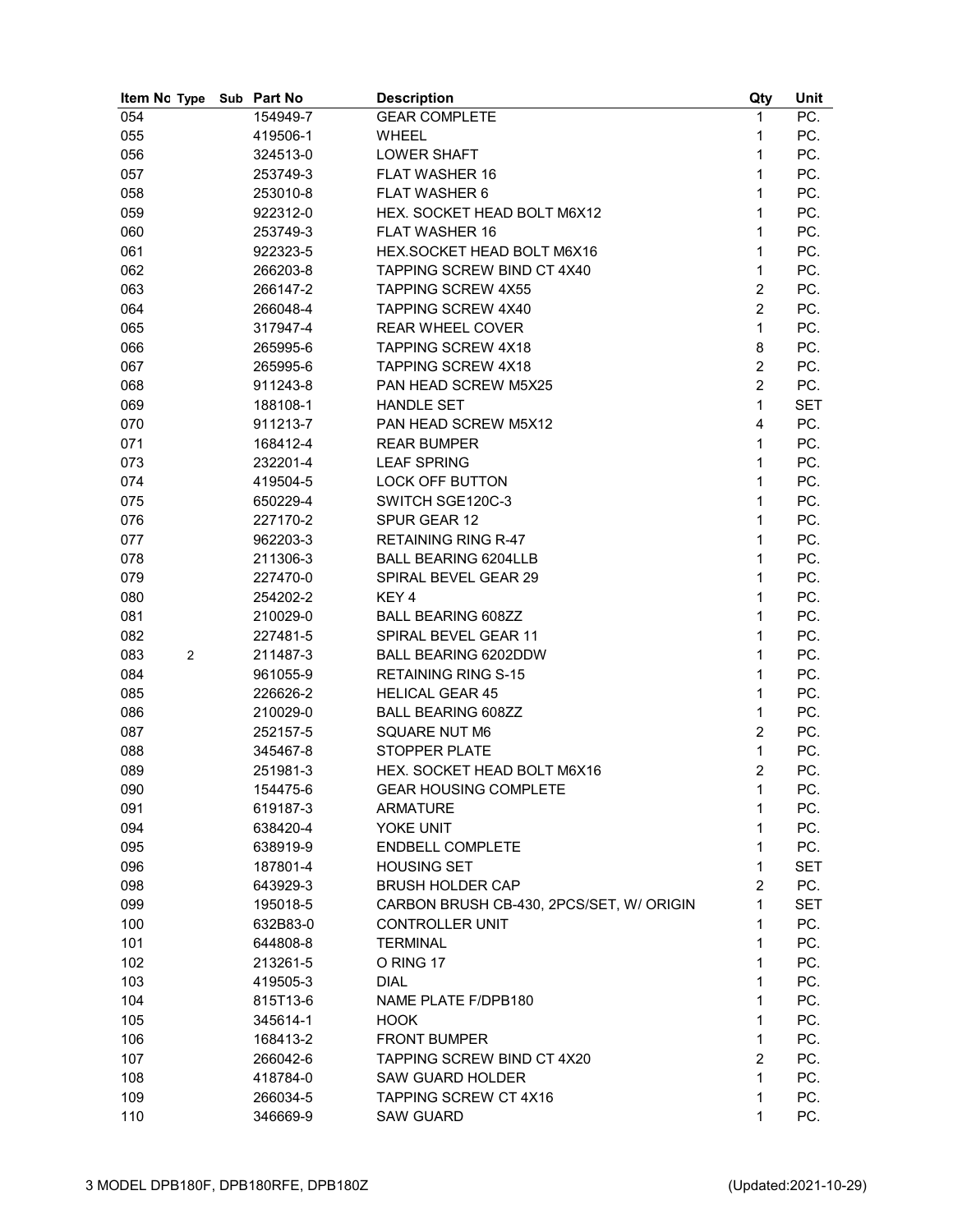| Item No Type          | Sub Part No | <b>Description</b>                       | Qty            | Unit       |
|-----------------------|-------------|------------------------------------------|----------------|------------|
| 054                   | 154949-7    | <b>GEAR COMPLETE</b>                     | 1              | PC.        |
| 055                   | 419506-1    | <b>WHEEL</b>                             | 1              | PC.        |
| 056                   | 324513-0    | <b>LOWER SHAFT</b>                       | $\mathbf{1}$   | PC.        |
| 057                   | 253749-3    | <b>FLAT WASHER 16</b>                    | 1              | PC.        |
| 058                   | 253010-8    | <b>FLAT WASHER 6</b>                     | 1              | PC.        |
| 059                   | 922312-0    | HEX. SOCKET HEAD BOLT M6X12              | 1              | PC.        |
| 060                   | 253749-3    | <b>FLAT WASHER 16</b>                    | 1              | PC.        |
| 061                   | 922323-5    | HEX.SOCKET HEAD BOLT M6X16               | 1              | PC.        |
| 062                   | 266203-8    | TAPPING SCREW BIND CT 4X40               | 1              | PC.        |
| 063                   | 266147-2    | <b>TAPPING SCREW 4X55</b>                | $\overline{2}$ | PC.        |
| 064                   | 266048-4    | <b>TAPPING SCREW 4X40</b>                | $\overline{2}$ | PC.        |
| 065                   | 317947-4    | <b>REAR WHEEL COVER</b>                  | $\mathbf{1}$   | PC.        |
| 066                   | 265995-6    | TAPPING SCREW 4X18                       | 8              | PC.        |
| 067                   | 265995-6    | TAPPING SCREW 4X18                       | $\overline{c}$ | PC.        |
| 068                   | 911243-8    | PAN HEAD SCREW M5X25                     | $\overline{2}$ | PC.        |
| 069                   | 188108-1    | <b>HANDLE SET</b>                        | $\mathbf{1}$   | <b>SET</b> |
| 070                   | 911213-7    | PAN HEAD SCREW M5X12                     | $\overline{4}$ | PC.        |
|                       |             |                                          | 1              | PC.        |
| 071                   | 168412-4    | <b>REAR BUMPER</b>                       |                |            |
| 073                   | 232201-4    | <b>LEAF SPRING</b>                       | $\mathbf{1}$   | PC.        |
| 074                   | 419504-5    | <b>LOCK OFF BUTTON</b>                   | $\mathbf{1}$   | PC.        |
| 075                   | 650229-4    | SWITCH SGE120C-3                         | 1              | PC.        |
| 076                   | 227170-2    | SPUR GEAR 12                             | 1              | PC.        |
| 077                   | 962203-3    | <b>RETAINING RING R-47</b>               | 1              | PC.        |
| 078                   | 211306-3    | <b>BALL BEARING 6204LLB</b>              | 1              | PC.        |
| 079                   | 227470-0    | SPIRAL BEVEL GEAR 29                     | 1              | PC.        |
| 080                   | 254202-2    | KEY <sub>4</sub>                         | 1              | PC.        |
| 081                   | 210029-0    | <b>BALL BEARING 608ZZ</b>                | 1              | PC.        |
| 082                   | 227481-5    | SPIRAL BEVEL GEAR 11                     | 1              | PC.        |
| 083<br>$\overline{2}$ | 211487-3    | BALL BEARING 6202DDW                     | 1              | PC.        |
| 084                   | 961055-9    | <b>RETAINING RING S-15</b>               | 1              | PC.        |
| 085                   | 226626-2    | <b>HELICAL GEAR 45</b>                   | $\mathbf{1}$   | PC.        |
| 086                   | 210029-0    | <b>BALL BEARING 608ZZ</b>                | 1              | PC.        |
| 087                   | 252157-5    | <b>SQUARE NUT M6</b>                     | $\overline{c}$ | PC.        |
| 088                   | 345467-8    | <b>STOPPER PLATE</b>                     | 1              | PC.        |
| 089                   | 251981-3    | HEX. SOCKET HEAD BOLT M6X16              | $\overline{2}$ | PC.        |
| 090                   | 154475-6    | <b>GEAR HOUSING COMPLETE</b>             | $\mathbf 1$    | PC.        |
| 091                   | 619187-3    | <b>ARMATURE</b>                          | 1              | PC.        |
| 094                   | 638420-4    | YOKE UNIT                                | 1              | PC.        |
| 095                   | 638919-9    | <b>ENDBELL COMPLETE</b>                  | $\mathbf{1}$   | PC.        |
| 096                   | 187801-4    | <b>HOUSING SET</b>                       | 1              | <b>SET</b> |
| 098                   | 643929-3    | <b>BRUSH HOLDER CAP</b>                  | $\overline{c}$ | PC.        |
| 099                   | 195018-5    | CARBON BRUSH CB-430, 2PCS/SET, W/ ORIGIN | 1              | <b>SET</b> |
| 100                   | 632B83-0    | <b>CONTROLLER UNIT</b>                   | 1              | PC.        |
| 101                   | 644808-8    | <b>TERMINAL</b>                          | $\mathbf{1}$   | PC.        |
| 102                   | 213261-5    | O RING 17                                | $\mathbf{1}$   | PC.        |
| 103                   | 419505-3    | <b>DIAL</b>                              | 1              | PC.        |
| 104                   | 815T13-6    | NAME PLATE F/DPB180                      | $\mathbf{1}$   | PC.        |
|                       | 345614-1    | <b>HOOK</b>                              | 1              | PC.        |
| 105                   |             |                                          |                |            |
| 106                   | 168413-2    | <b>FRONT BUMPER</b>                      | $\mathbf{1}$   | PC.        |
| 107                   | 266042-6    | TAPPING SCREW BIND CT 4X20               | $\overline{2}$ | PC.        |
| 108                   | 418784-0    | <b>SAW GUARD HOLDER</b>                  | $\mathbf{1}$   | PC.        |
| 109                   | 266034-5    | TAPPING SCREW CT 4X16                    | 1              | PC.        |
| 110                   | 346669-9    | <b>SAW GUARD</b>                         | 1              | PC.        |